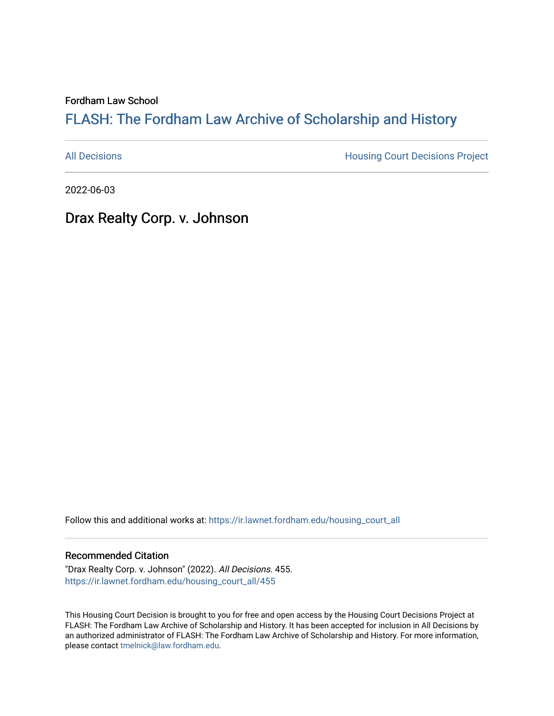Fordham Law School

# FLASH: The For[dham Law Archive of Scholarship and Hist](https://ir.lawnet.fordham.edu/)ory

[All Decisions](https://ir.lawnet.fordham.edu/housing_court_all) **All Decisions All Decisions** Project

2022-06-03

Drax Realty Corp. v. Johnson

Follow this and additional works at: [https://ir.lawnet.fordham.edu/housing\\_court\\_all](https://ir.lawnet.fordham.edu/housing_court_all?utm_source=ir.lawnet.fordham.edu%2Fhousing_court_all%2F455&utm_medium=PDF&utm_campaign=PDFCoverPages)

#### Recommended Citation

"Drax Realty Corp. v. Johnson" (2022). All Decisions. 455. [https://ir.lawnet.fordham.edu/housing\\_court\\_all/455](https://ir.lawnet.fordham.edu/housing_court_all/455?utm_source=ir.lawnet.fordham.edu%2Fhousing_court_all%2F455&utm_medium=PDF&utm_campaign=PDFCoverPages)

This Housing Court Decision is brought to you for free and open access by the Housing Court Decisions Project at FLASH: The Fordham Law Archive of Scholarship and History. It has been accepted for inclusion in All Decisions by an authorized administrator of FLASH: The Fordham Law Archive of Scholarship and History. For more information, please contact [tmelnick@law.fordham.edu](mailto:tmelnick@law.fordham.edu).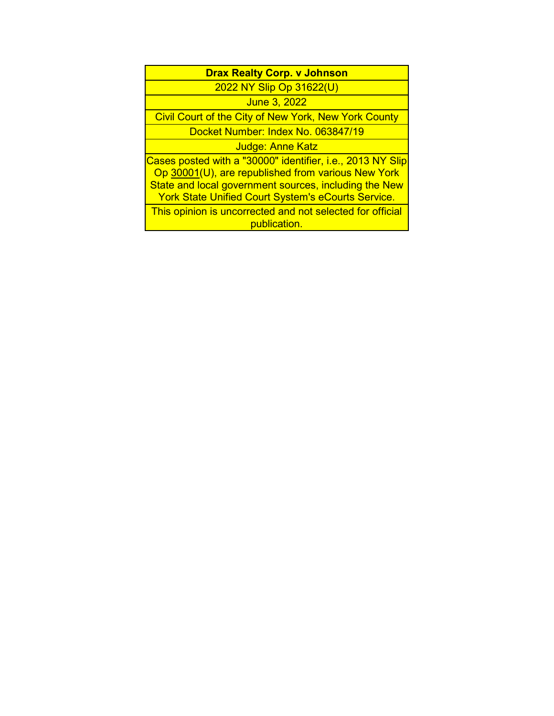| <b>Drax Realty Corp. v Johnson</b>                                                                                                                                                                                                     |
|----------------------------------------------------------------------------------------------------------------------------------------------------------------------------------------------------------------------------------------|
| 2022 NY Slip Op 31622(U)                                                                                                                                                                                                               |
| June 3, 2022                                                                                                                                                                                                                           |
| Civil Court of the City of New York, New York County                                                                                                                                                                                   |
| Docket Number: Index No. 063847/19                                                                                                                                                                                                     |
| Judge: Anne Katz                                                                                                                                                                                                                       |
| Cases posted with a "30000" identifier, i.e., 2013 NY Slip<br>Op 30001(U), are republished from various New York<br>State and local government sources, including the New<br><b>York State Unified Court System's eCourts Service.</b> |
| This opinion is uncorrected and not selected for official<br>publication.                                                                                                                                                              |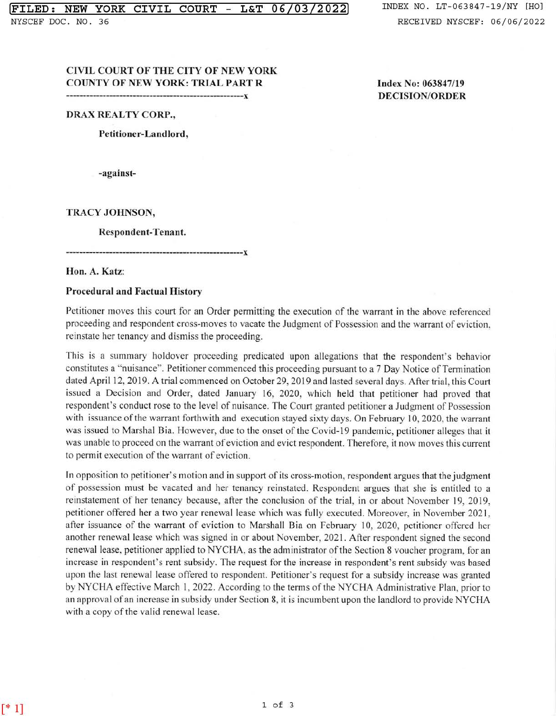NYSCEF DOC . NO. 36

## CIVIL COURT OF THE CITY OF NEW YORK COUNTY OF NEW YORK: TRIAL PART R

----------------------------------------------------x

Index No: 063847/19 DECISION/ORDER

DRAX REALTY CORP.,

Petitioner-Landlord,

-against-

TRACY JOHNSON,

Respondent-Tenant.

-------------------------------------------------x

Hon. A. Katz:

#### Procedural and Factual History

Petitioner moves this court for an Order permitting the execution of the warrant in the above referenced proceeding and respondent cross-moves to vacate the Judgment of Possession and the warrant of eviction, reinstate her tenancy and dismiss the proceeding.

This is a summary holdover proceeding predicated upon allegations that the respondent's behavior constitutes a "nuisance". Petitioner commenced this proceeding pursuant to a 7 Day Notice of Termination dated April 12, 2019. A trial commenced on October 29, 2019 and lasted several days. After trial, this Court issued a Decision and Order, dated January 16, 2020, which held that petitioner had proved that respondent's conduct rose to the level of nuisance. The Court granted petitioner a Judgment of Possession with issuance of the warrant forthwith and execution stayed sixty days. On February 10, 2020, the warrant was issued to Marshal Bia. However, due to the onset of the Covid-19 pandemic, petitioner alleges that it was unable to proceed on the warrant of eviction and evict respondent. Therefore, it now moves this current to permit execution of the warrant of eviction.

In opposition to petitioner's motion and in support of its cross-motion, respondent argues that the judgment of possession must be vacated and her tenancy reinstated. Respondent argues that she is entitled to a reinstatement of her tenancy because, after the conclusion of the trial, in or about November 19, 2019, petitioner offered her a two year renewal lease which was fully executed. Moreover, in November 2021, after issuance of the warrant of eviction to Marshall Bia on February 10, 2020, petitioner offered her another renewal lease which was signed in or about November, 2021. After respondent signed the second renewal lease, petitioner applied to NYCHA, as the administrator of the Section 8 voucher program, for an increase in respondent's rent subsidy. The request for the increase in respondent's rent subsidy was based upon the last renewal lease offered to respondent. Petitioner's request for a subsidy increase was granted by NYCHA effective March 1, 2022. According to the terms of the NYCHA Administrative Plan, prior to an approval of an increase in subsidy under Section 8, it is incumbent upon the landlord to provide NY CHA with a copy of the valid renewal lease.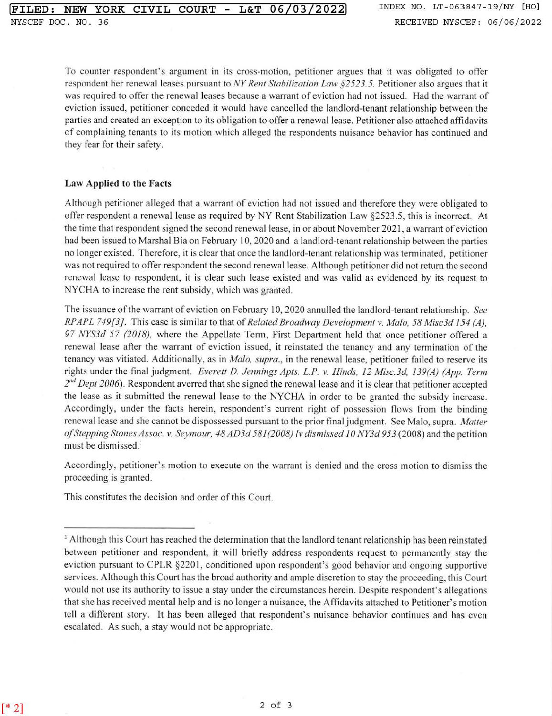NYSCEF DOC . NO. 36

To counter respondent's argument in its cross-motion, petitioner argues that it was obligated to offer respondent her renewal leases pursuant to *NY Rent Stabilization Law §2523.5*. Petitioner also argues that it was required to offer the renewal leases because a warrant of eviction had not issued. Had the warrant of eviction issued, petitioner conceded it would have cancelled the landlord-tenant relationship between the parties and created an exception to its obligation to offer a renewal lease. Petitioner also attached affidavits of complaining tenants to its motion which alleged the respondents nuisance behavior has continued and they fear for their safety.

#### Law Applied to the Facts

Although petitioner alleged that a warrant of eviction had not issued and therefore they were obligated to offer respondent a renewal lease as required by NY Rent Stabilization Law §2523.5, this is incorrect. At the time that respondent signed the second renewal lease, in or about November 2021, a warrant of eviction had been issued to Marshal Bia on February 10, 2020 and a landlord-tenant relationship between the parties no longer existed. Therefore, it is clear that once the landlord-tenant relationship was terminated, petitioner was not required to offer respondent the second renewal lease. Although petitioner did not return the second renewal lease to respondent, it is clear such lease existed and was valid as evidenced by its request to NYCHA to increase the rent subsidy, which was granted.

The issuance of the warrant of eviction on February 10, 2020 annulled the landlord-tenant relationship. *See RP APL 749[3}.* This case is similar to that of *Related Broadway Development v. Malo, 58 MiscJd 154 (A), 97 NYS3d 57 (2018),* where the Appellate Term, First Department held that once petitioner offered a renewal lease after the warrant of eviction issued, it reinstated the tenancy and any termination of the tenancy was vitiated. Additionally, as in *Malo, supra.,* in the renewal lease, petitioner failed to reserve its rights under the final judgment. *Everett D. Jennings Apts. L.P. v. Hinds, 12 Misc.3d, 139(A) (App. Term* 2<sup>nd</sup> Dept 2006). Respondent averred that she signed the renewal lease and it is clear that petitioner accepted the lease as it submitted the renewal lease to the NYCHA in order to be granted the subsidy increase. Accordingly, under the facts herein, respondent's current right of possession flows from the binding renewal lease and she cannot be dispossessed pursuant to the prior final judgment. See Malo, supra. *Malter of Stepping Stones Assoc. v. Seymour, 48 AD3d 581 (2008) Iv dismissed I 0 NY3d 953* (2008) and the petition must be dismissed.<sup>1</sup>

Accordingly, petitioner's motion to execute on the warrant is denied and the cross motion to dismiss the proceeding is granted.

This constitutes the decision and order of this Court.

<sup>&</sup>lt;sup>1</sup> Although this Court has reached the determination that the landlord tenant relationship has been reinstated between petitioner and respondent, it will briefly address respondents request to permanently stay the eviction pursuant to CPLR §2201, conditioned upon respondent's good behavior and ongoing supportive services. Although this Court has the broad authority and ample discretion to stay the proceeding, this Court would not use its authority to issue a stay under the circumstances herein. Despite respondent's allegations that she has received mental help and is no longer a nuisance, the Affidavits attached to Petitioner's motion tell a different story. It has been alleged that respondent's nuisance behavior continues and has even escalated. As such, a stay would not be appropriate.